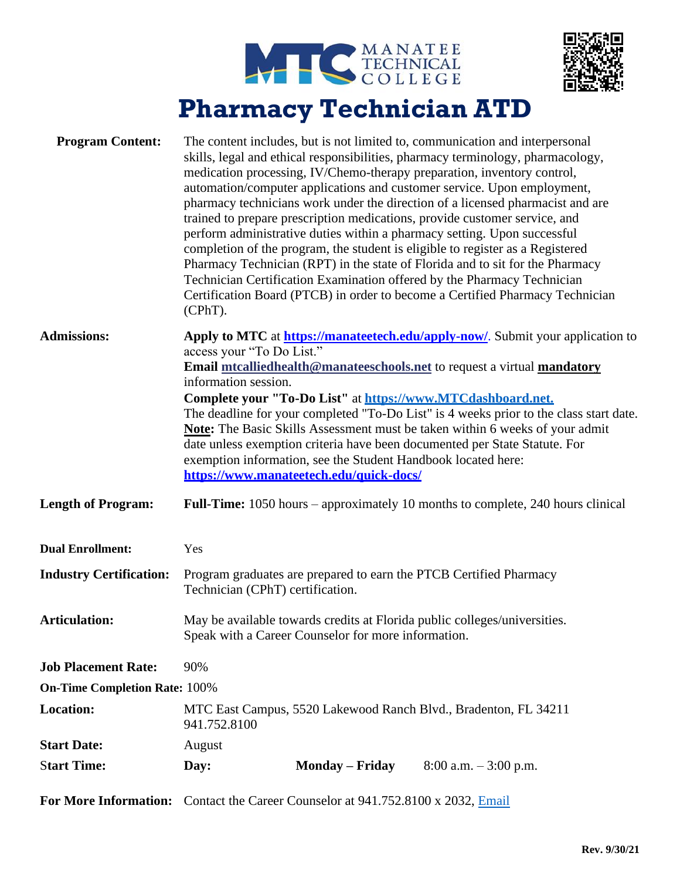



## **Pharmacy Technician ATD**

| <b>Program Content:</b>              | The content includes, but is not limited to, communication and interpersonal<br>skills, legal and ethical responsibilities, pharmacy terminology, pharmacology,<br>medication processing, IV/Chemo-therapy preparation, inventory control,<br>automation/computer applications and customer service. Upon employment,<br>pharmacy technicians work under the direction of a licensed pharmacist and are<br>trained to prepare prescription medications, provide customer service, and<br>perform administrative duties within a pharmacy setting. Upon successful<br>completion of the program, the student is eligible to register as a Registered<br>Pharmacy Technician (RPT) in the state of Florida and to sit for the Pharmacy<br>Technician Certification Examination offered by the Pharmacy Technician<br>Certification Board (PTCB) in order to become a Certified Pharmacy Technician<br>$(CPhT)$ . |                        |                          |  |
|--------------------------------------|----------------------------------------------------------------------------------------------------------------------------------------------------------------------------------------------------------------------------------------------------------------------------------------------------------------------------------------------------------------------------------------------------------------------------------------------------------------------------------------------------------------------------------------------------------------------------------------------------------------------------------------------------------------------------------------------------------------------------------------------------------------------------------------------------------------------------------------------------------------------------------------------------------------|------------------------|--------------------------|--|
| <b>Admissions:</b>                   | Apply to MTC at https://manatextech.edu/apply-now/. Submit your application to<br>access your "To Do List."<br>Email mtcalliedhealth@manateeschools.net to request a virtual mandatory<br>information session.<br>Complete your "To-Do List" at https://www.MTCdashboard.net.<br>The deadline for your completed "To-Do List" is 4 weeks prior to the class start date.<br>Note: The Basic Skills Assessment must be taken within 6 weeks of your admit<br>date unless exemption criteria have been documented per State Statute. For<br>exemption information, see the Student Handbook located here:<br>https://www.manateetech.edu/quick-docs/                                                                                                                                                                                                                                                              |                        |                          |  |
| <b>Length of Program:</b>            | <b>Full-Time:</b> 1050 hours – approximately 10 months to complete, 240 hours clinical                                                                                                                                                                                                                                                                                                                                                                                                                                                                                                                                                                                                                                                                                                                                                                                                                         |                        |                          |  |
| <b>Dual Enrollment:</b>              | Yes                                                                                                                                                                                                                                                                                                                                                                                                                                                                                                                                                                                                                                                                                                                                                                                                                                                                                                            |                        |                          |  |
| <b>Industry Certification:</b>       | Program graduates are prepared to earn the PTCB Certified Pharmacy<br>Technician (CPhT) certification.                                                                                                                                                                                                                                                                                                                                                                                                                                                                                                                                                                                                                                                                                                                                                                                                         |                        |                          |  |
| <b>Articulation:</b>                 | May be available towards credits at Florida public colleges/universities.<br>Speak with a Career Counselor for more information.                                                                                                                                                                                                                                                                                                                                                                                                                                                                                                                                                                                                                                                                                                                                                                               |                        |                          |  |
| <b>Job Placement Rate:</b>           | 90%                                                                                                                                                                                                                                                                                                                                                                                                                                                                                                                                                                                                                                                                                                                                                                                                                                                                                                            |                        |                          |  |
| <b>On-Time Completion Rate: 100%</b> |                                                                                                                                                                                                                                                                                                                                                                                                                                                                                                                                                                                                                                                                                                                                                                                                                                                                                                                |                        |                          |  |
| <b>Location:</b>                     | MTC East Campus, 5520 Lakewood Ranch Blvd., Bradenton, FL 34211<br>941.752.8100                                                                                                                                                                                                                                                                                                                                                                                                                                                                                                                                                                                                                                                                                                                                                                                                                                |                        |                          |  |
| <b>Start Date:</b>                   | August                                                                                                                                                                                                                                                                                                                                                                                                                                                                                                                                                                                                                                                                                                                                                                                                                                                                                                         |                        |                          |  |
| <b>Start Time:</b>                   | Day:                                                                                                                                                                                                                                                                                                                                                                                                                                                                                                                                                                                                                                                                                                                                                                                                                                                                                                           | <b>Monday – Friday</b> | $8:00$ a.m. $-3:00$ p.m. |  |
|                                      | For More Information: Contact the Career Counselor at 941.752.8100 x 2032, Email                                                                                                                                                                                                                                                                                                                                                                                                                                                                                                                                                                                                                                                                                                                                                                                                                               |                        |                          |  |